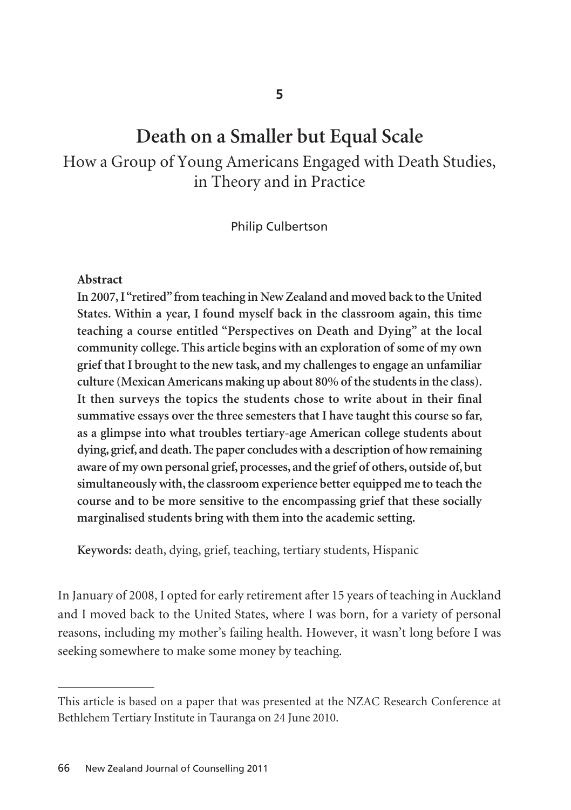# **Death on a Smaller but Equal Scale**

How a Group of Young Americans Engaged with Death Studies, in Theory and in Practice

Philip Culbertson

### **Abstract**

**In 2007, I "retired" from teaching in New Zealand and moved back to the United States. Within a year, I found myself back in the classroom again, this time teaching a course entitled "Perspectives on Death and Dying" at the local community college. This article begins with an exploration of some of my own grief that I brought to the new task, and my challenges to engage an unfamiliar culture (Mexican Americans making up about 80% of the students in the class). It then surveys the topics the students chose to write about in their final summative essays over the three semesters that I have taught this course so far, as a glimpse into what troubles tertiary-age American college students about dying, grief, and death. The paper concludes with a description of how remaining aware of my own personal grief, processes, and the grief of others, outside of, but simultaneously with, the classroom experience better equipped me to teach the course and to be more sensitive to the encompassing grief that these socially marginalised students bring with them into the academic setting.** 

**Keywords:** death, dying, grief, teaching, tertiary students, Hispanic

In January of 2008, I opted for early retirement after 15 years of teaching in Auckland and I moved back to the United States, where I was born, for a variety of personal reasons, including my mother's failing health. However, it wasn't long before I was seeking somewhere to make some money by teaching.

This article is based on a paper that was presented at the NZAC Research Conference at Bethlehem Tertiary Institute in Tauranga on 24 June 2010.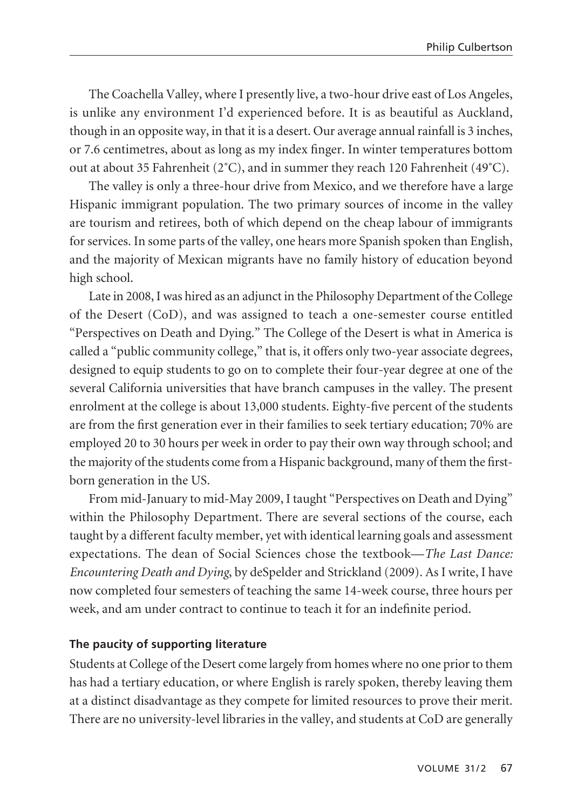The Coachella Valley, where I presently live, a two-hour drive east of Los Angeles, is unlike any environment I'd experienced before. It is as beautiful as Auckland, though in an opposite way, in that it is a desert. Our average annual rainfall is 3 inches, or 7.6 centimetres, about as long as my index finger. In winter temperatures bottom out at about 35 Fahrenheit ( $2^{\circ}$ C), and in summer they reach 120 Fahrenheit ( $49^{\circ}$ C).

The valley is only a three-hour drive from Mexico, and we therefore have a large Hispanic immigrant population. The two primary sources of income in the valley are tourism and retirees, both of which depend on the cheap labour of immigrants for services. In some parts of the valley, one hears more Spanish spoken than English, and the majority of Mexican migrants have no family history of education beyond high school.

Late in 2008, I was hired as an adjunct in the Philosophy Department of the College of the Desert (CoD), and was assigned to teach a one-semester course entitled "Perspectives on Death and Dying." The College of the Desert is what in America is called a "public community college," that is, it offers only two-year associate degrees, designed to equip students to go on to complete their four-year degree at one of the several California universities that have branch campuses in the valley. The present enrolment at the college is about 13,000 students. Eighty-five percent of the students are from the first generation ever in their families to seek tertiary education; 70% are employed 20 to 30 hours per week in order to pay their own way through school; and the majority of the students come from a Hispanic background, many of them the firstborn generation in the US.

From mid-January to mid-May 2009, I taught "Perspectives on Death and Dying" within the Philosophy Department. There are several sections of the course, each taught by a different faculty member, yet with identical learning goals and assessment expectations. The dean of Social Sciences chose the textbook—*The Last Dance: Encountering Death and Dying*, by deSpelder and Strickland (2009). As I write, I have now completed four semesters of teaching the same 14-week course, three hours per week, and am under contract to continue to teach it for an indefinite period.

# **The paucity of supporting literature**

Students at College of the Desert come largely from homes where no one prior to them has had a tertiary education, or where English is rarely spoken, thereby leaving them at a distinct disadvantage as they compete for limited resources to prove their merit. There are no university-level libraries in the valley, and students at CoD are generally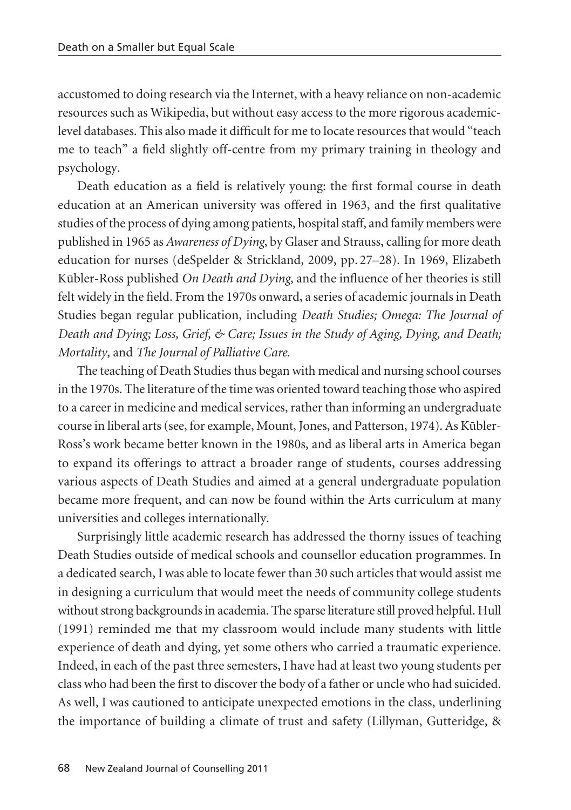accustomed to doing research via the Internet, with a heavy reliance on non-academic resources such as Wikipedia, but without easy access to the more rigorous academiclevel databases. This also made it difficult for me to locate resources that would "teach me to teach" a field slightly off-centre from my primary training in theology and psychology.

Death education as a field is relatively young: the first formal course in death education at an American university was offered in 1963, and the first qualitative studies of the process of dying among patients, hospital staff, and family members were published in 1965 as *Awareness of Dying*, by Glaser and Strauss, calling for more death education for nurses (deSpelder & Strickland, 2009, pp. 27–28). In 1969, Elizabeth Kübler-Ross published *On Death and Dying*, and the influence of her theories is still felt widely in the field. From the 1970s onward, a series of academic journals in Death Studies began regular publication, including *Death Studies; Omega: The Journal of Death and Dying; Loss, Grief, & Care; Issues in the Study of Aging, Dying, and Death; Mortality*, and *The Journal of Palliative Care*.

The teaching of Death Studies thus began with medical and nursing school courses in the 1970s. The literature of the time was oriented toward teaching those who aspired to a career in medicine and medical services, rather than informing an undergraduate course in liberal arts (see, for example, Mount, Jones, and Patterson, 1974). As Kübler-Ross's work became better known in the 1980s, and as liberal arts in America began to expand its offerings to attract a broader range of students, courses addressing various aspects of Death Studies and aimed at a general undergraduate population became more frequent, and can now be found within the Arts curriculum at many universities and colleges internationally.

Surprisingly little academic research has addressed the thorny issues of teaching Death Studies outside of medical schools and counsellor education programmes. In a dedicated search, I was able to locate fewer than 30 such articles that would assist me in designing a curriculum that would meet the needs of community college students without strong backgrounds in academia. The sparse literature still proved helpful. Hull (1991) reminded me that my classroom would include many students with little experience of death and dying, yet some others who carried a traumatic experience. Indeed, in each of the past three semesters, I have had at least two young students per class who had been the first to discover the body of a father or uncle who had suicided. As well, I was cautioned to anticipate unexpected emotions in the class, underlining the importance of building a climate of trust and safety (Lillyman, Gutteridge, &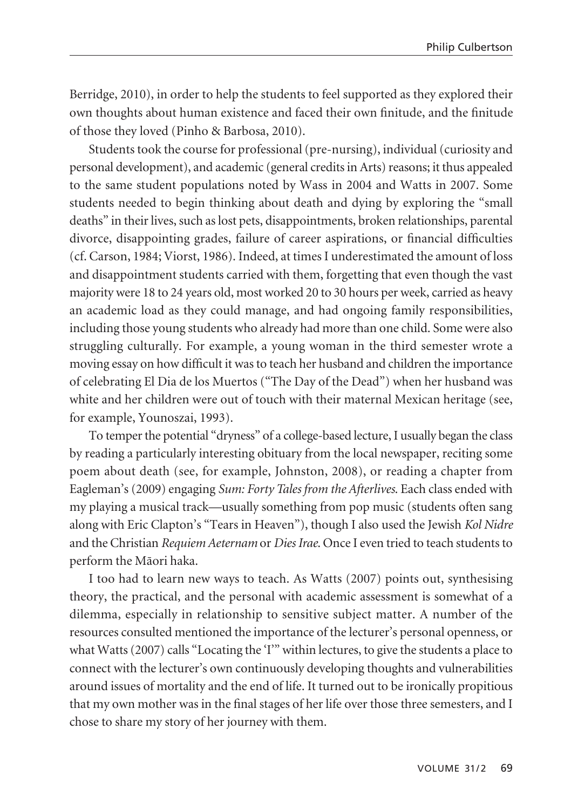Berridge, 2010), in order to help the students to feel supported as they explored their own thoughts about human existence and faced their own finitude, and the finitude of those they loved (Pinho & Barbosa, 2010).

Students took the course for professional (pre-nursing), individual (curiosity and personal development), and academic (general credits in Arts) reasons; it thus appealed to the same student populations noted by Wass in 2004 and Watts in 2007. Some students needed to begin thinking about death and dying by exploring the "small deaths" in their lives, such as lost pets, disappointments, broken relationships, parental divorce, disappointing grades, failure of career aspirations, or financial difficulties (cf. Carson, 1984; Viorst, 1986). Indeed, at times I underestimated the amount of loss and disappointment students carried with them, forgetting that even though the vast majority were 18 to 24 years old, most worked 20 to 30 hours per week, carried as heavy an academic load as they could manage, and had ongoing family responsibilities, including those young students who already had more than one child. Some were also struggling culturally. For example, a young woman in the third semester wrote a moving essay on how difficult it was to teach her husband and children the importance of celebrating El Dia de los Muertos ("The Day of the Dead") when her husband was white and her children were out of touch with their maternal Mexican heritage (see, for example, Younoszai, 1993).

To temper the potential "dryness" of a college-based lecture, I usually began the class by reading a particularly interesting obituary from the local newspaper, reciting some poem about death (see, for example, Johnston, 2008), or reading a chapter from Eagleman's (2009) engaging *Sum: Forty Tales from the Afterlives*. Each class ended with my playing a musical track—usually something from pop music (students often sang along with Eric Clapton's "Tears in Heaven"), though I also used the Jewish *Kol Nidre* and the Christian *Requiem Aeternam* or *Dies Irae*. Once I even tried to teach students to perform the Mäori haka.

I too had to learn new ways to teach. As Watts (2007) points out, synthesising theory, the practical, and the personal with academic assessment is somewhat of a dilemma, especially in relationship to sensitive subject matter. A number of the resources consulted mentioned the importance of the lecturer's personal openness, or what Watts (2007) calls "Locating the 'I'" within lectures, to give the students a place to connect with the lecturer's own continuously developing thoughts and vulnerabilities around issues of mortality and the end of life. It turned out to be ironically propitious that my own mother was in the final stages of her life over those three semesters, and I chose to share my story of her journey with them.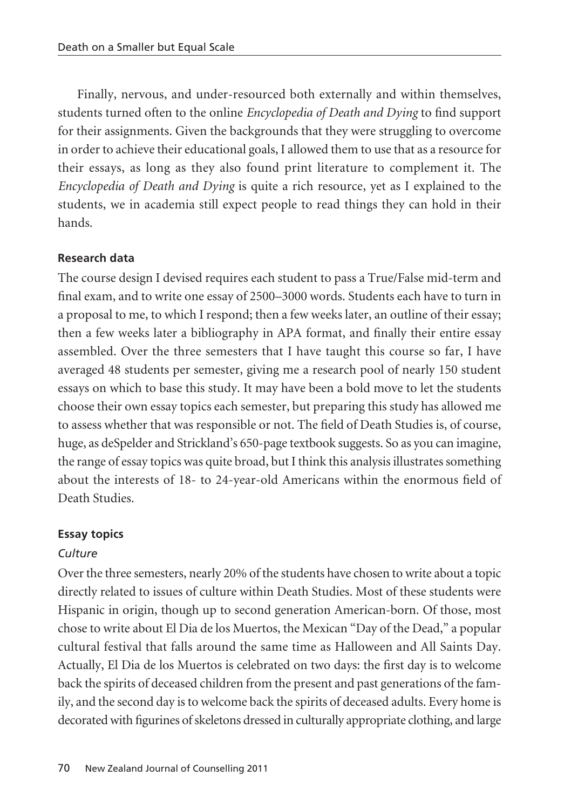Finally, nervous, and under-resourced both externally and within themselves, students turned often to the online *Encyclopedia of Death and Dying* to find support for their assignments. Given the backgrounds that they were struggling to overcome in order to achieve their educational goals, I allowed them to use that as a resource for their essays, as long as they also found print literature to complement it. The *Encyclopedia of Death and Dying* is quite a rich resource, yet as I explained to the students, we in academia still expect people to read things they can hold in their hands.

## **Research data**

The course design I devised requires each student to pass a True/False mid-term and final exam, and to write one essay of 2500–3000 words. Students each have to turn in a proposal to me, to which I respond; then a few weeks later, an outline of their essay; then a few weeks later a bibliography in APA format, and finally their entire essay assembled. Over the three semesters that I have taught this course so far, I have averaged 48 students per semester, giving me a research pool of nearly 150 student essays on which to base this study. It may have been a bold move to let the students choose their own essay topics each semester, but preparing this study has allowed me to assess whether that was responsible or not. The field of Death Studies is, of course, huge, as deSpelder and Strickland's 650-page textbook suggests. So as you can imagine, the range of essay topics was quite broad, but I think this analysis illustrates something about the interests of 18- to 24-year-old Americans within the enormous field of Death Studies.

## **Essay topics**

# *Culture*

Over the three semesters, nearly 20% of the students have chosen to write about a topic directly related to issues of culture within Death Studies. Most of these students were Hispanic in origin, though up to second generation American-born. Of those, most chose to write about El Dia de los Muertos, the Mexican "Day of the Dead," a popular cultural festival that falls around the same time as Halloween and All Saints Day. Actually, El Dia de los Muertos is celebrated on two days: the first day is to welcome back the spirits of deceased children from the present and past generations of the family, and the second day is to welcome back the spirits of deceased adults. Every home is decorated with figurines of skeletons dressed in culturally appropriate clothing, and large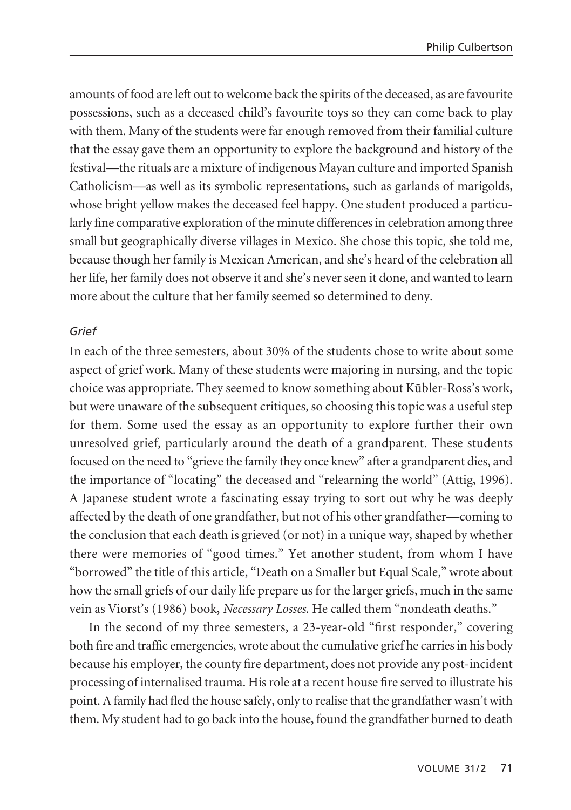amounts of food are left out to welcome back the spirits of the deceased, as are favourite possessions, such as a deceased child's favourite toys so they can come back to play with them. Many of the students were far enough removed from their familial culture that the essay gave them an opportunity to explore the background and history of the festival—the rituals are a mixture of indigenous Mayan culture and imported Spanish Catholicism—as well as its symbolic representations, such as garlands of marigolds, whose bright yellow makes the deceased feel happy. One student produced a particularly fine comparative exploration of the minute differences in celebration among three small but geographically diverse villages in Mexico. She chose this topic, she told me, because though her family is Mexican American, and she's heard of the celebration all her life, her family does not observe it and she's never seen it done, and wanted to learn more about the culture that her family seemed so determined to deny.

## *Grief*

In each of the three semesters, about 30% of the students chose to write about some aspect of grief work. Many of these students were majoring in nursing, and the topic choice was appropriate. They seemed to know something about Kübler-Ross's work, but were unaware of the subsequent critiques, so choosing this topic was a useful step for them. Some used the essay as an opportunity to explore further their own unresolved grief, particularly around the death of a grandparent. These students focused on the need to "grieve the family they once knew" after a grandparent dies, and the importance of "locating" the deceased and "relearning the world" (Attig, 1996). A Japanese student wrote a fascinating essay trying to sort out why he was deeply affected by the death of one grandfather, but not of his other grandfather—coming to the conclusion that each death is grieved (or not) in a unique way, shaped by whether there were memories of "good times." Yet another student, from whom I have "borrowed" the title of this article, "Death on a Smaller but Equal Scale," wrote about how the small griefs of our daily life prepare us for the larger griefs, much in the same vein as Viorst's (1986) book, *Necessary Losses*. He called them "nondeath deaths."

In the second of my three semesters, a 23-year-old "first responder," covering both fire and traffic emergencies, wrote about the cumulative grief he carries in his body because his employer, the county fire department, does not provide any post-incident processing of internalised trauma. His role at a recent house fire served to illustrate his point. A family had fled the house safely, only to realise that the grandfather wasn't with them. My student had to go back into the house, found the grandfather burned to death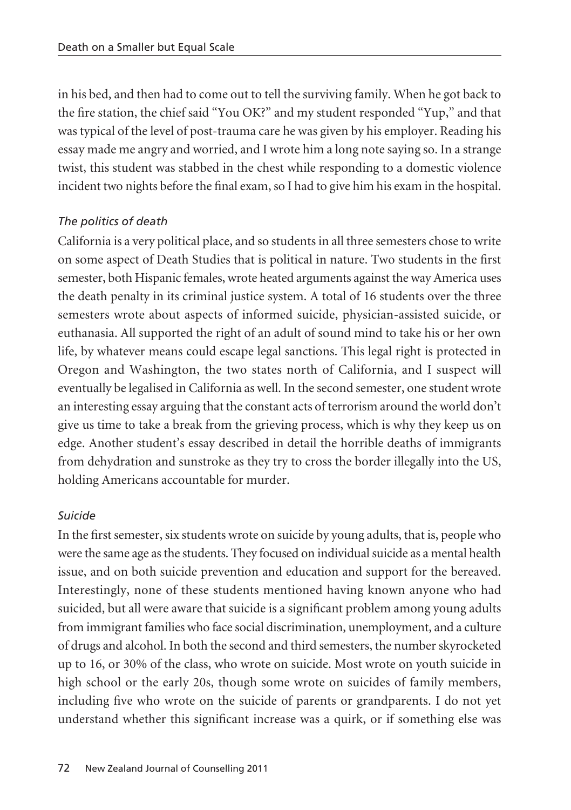in his bed, and then had to come out to tell the surviving family. When he got back to the fire station, the chief said "You OK?" and my student responded "Yup," and that was typical of the level of post-trauma care he was given by his employer. Reading his essay made me angry and worried, and I wrote him a long note saying so. In a strange twist, this student was stabbed in the chest while responding to a domestic violence incident two nights before the final exam, so I had to give him his exam in the hospital.

# *The politics of death*

California is a very political place, and so students in all three semesters chose to write on some aspect of Death Studies that is political in nature. Two students in the first semester, both Hispanic females, wrote heated arguments against the way America uses the death penalty in its criminal justice system. A total of 16 students over the three semesters wrote about aspects of informed suicide, physician-assisted suicide, or euthanasia. All supported the right of an adult of sound mind to take his or her own life, by whatever means could escape legal sanctions. This legal right is protected in Oregon and Washington, the two states north of California, and I suspect will eventually be legalised in California as well. In the second semester, one student wrote an interesting essay arguing that the constant acts of terrorism around the world don't give us time to take a break from the grieving process, which is why they keep us on edge. Another student's essay described in detail the horrible deaths of immigrants from dehydration and sunstroke as they try to cross the border illegally into the US, holding Americans accountable for murder.

# *Suicide*

In the first semester, six students wrote on suicide by young adults, that is, people who were the same age as the students. They focused on individual suicide as a mental health issue, and on both suicide prevention and education and support for the bereaved. Interestingly, none of these students mentioned having known anyone who had suicided, but all were aware that suicide is a significant problem among young adults from immigrant families who face social discrimination, unemployment, and a culture of drugs and alcohol. In both the second and third semesters, the number skyrocketed up to 16, or 30% of the class, who wrote on suicide. Most wrote on youth suicide in high school or the early 20s, though some wrote on suicides of family members, including five who wrote on the suicide of parents or grandparents. I do not yet understand whether this significant increase was a quirk, or if something else was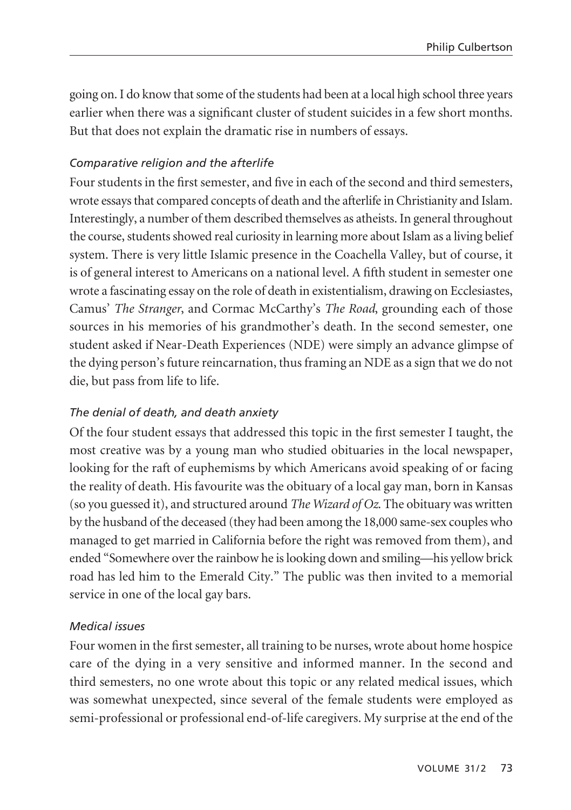going on. I do know that some of the students had been at a local high school three years earlier when there was a significant cluster of student suicides in a few short months. But that does not explain the dramatic rise in numbers of essays.

## *Comparative religion and the afterlife*

Four students in the first semester, and five in each of the second and third semesters, wrote essays that compared concepts of death and the afterlife in Christianity and Islam. Interestingly, a number of them described themselves as atheists. In general throughout the course, students showed real curiosity in learning more about Islam as a living belief system. There is very little Islamic presence in the Coachella Valley, but of course, it is of general interest to Americans on a national level. A fifth student in semester one wrote a fascinating essay on the role of death in existentialism, drawing on Ecclesiastes, Camus' *The Stranger*, and Cormac McCarthy's *The Road*, grounding each of those sources in his memories of his grandmother's death. In the second semester, one student asked if Near-Death Experiences (NDE) were simply an advance glimpse of the dying person's future reincarnation, thus framing an NDE as a sign that we do not die, but pass from life to life.

### *The denial of death, and death anxiety*

Of the four student essays that addressed this topic in the first semester I taught, the most creative was by a young man who studied obituaries in the local newspaper, looking for the raft of euphemisms by which Americans avoid speaking of or facing the reality of death. His favourite was the obituary of a local gay man, born in Kansas (so you guessed it), and structured around *The Wizard of Oz*. The obituary was written by the husband of the deceased (they had been among the 18,000 same-sex couples who managed to get married in California before the right was removed from them), and ended "Somewhere over the rainbow he is looking down and smiling—his yellow brick road has led him to the Emerald City." The public was then invited to a memorial service in one of the local gay bars.

### *Medical issues*

Four women in the first semester, all training to be nurses, wrote about home hospice care of the dying in a very sensitive and informed manner. In the second and third semesters, no one wrote about this topic or any related medical issues, which was somewhat unexpected, since several of the female students were employed as semi-professional or professional end-of-life caregivers. My surprise at the end of the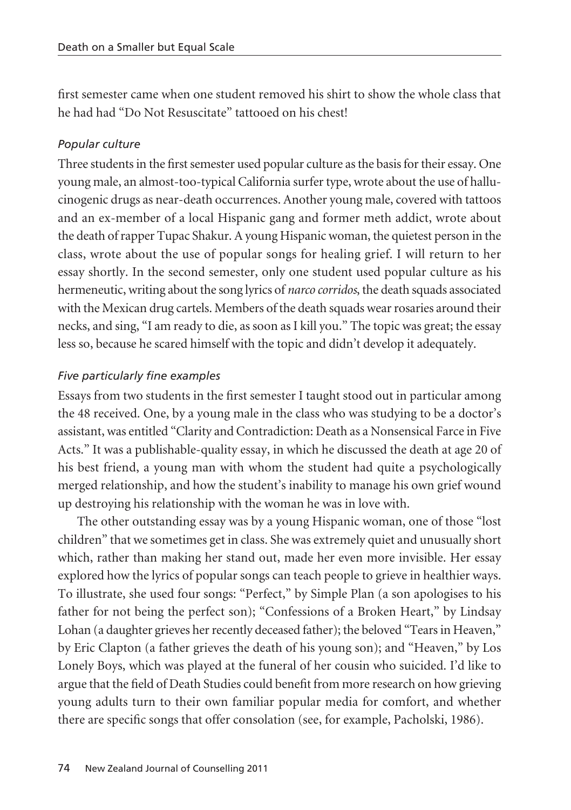first semester came when one student removed his shirt to show the whole class that he had had "Do Not Resuscitate" tattooed on his chest!

# *Popular culture*

Three students in the first semester used popular culture as the basis for their essay. One young male, an almost-too-typical California surfer type, wrote about the use of hallu cino genic drugs as near-death occurrences. Another young male, covered with tattoos and an ex-member of a local Hispanic gang and former meth addict, wrote about the death of rapper Tupac Shakur. A young Hispanic woman, the quietest person in the class, wrote about the use of popular songs for healing grief. I will return to her essay shortly. In the second semester, only one student used popular culture as his hermeneutic, writing about the song lyrics of *narco corridos*, the death squads associated with the Mexican drug cartels. Members of the death squads wear rosaries around their necks, and sing, "I am ready to die, as soon as I kill you." The topic was great; the essay less so, because he scared himself with the topic and didn't develop it adequately.

# *Five particularly fine examples*

Essays from two students in the first semester I taught stood out in particular among the 48 received. One, by a young male in the class who was studying to be a doctor's assistant, was entitled "Clarity and Contradiction: Death as a Nonsensical Farce in Five Acts." It was a publishable-quality essay, in which he discussed the death at age 20 of his best friend, a young man with whom the student had quite a psychologically merged relationship, and how the student's inability to manage his own grief wound up destroying his relationship with the woman he was in love with.

The other outstanding essay was by a young Hispanic woman, one of those "lost children" that we sometimes get in class. She was extremely quiet and unusually short which, rather than making her stand out, made her even more invisible. Her essay explored how the lyrics of popular songs can teach people to grieve in healthier ways. To illustrate, she used four songs: "Perfect," by Simple Plan (a son apologises to his father for not being the perfect son); "Confessions of a Broken Heart," by Lindsay Lohan (a daughter grieves her recently deceased father); the beloved "Tears in Heaven," by Eric Clapton (a father grieves the death of his young son); and "Heaven," by Los Lonely Boys, which was played at the funeral of her cousin who suicided. I'd like to argue that the field of Death Studies could benefit from more research on how grieving young adults turn to their own familiar popular media for comfort, and whether there are specific songs that offer consolation (see, for example, Pacholski, 1986).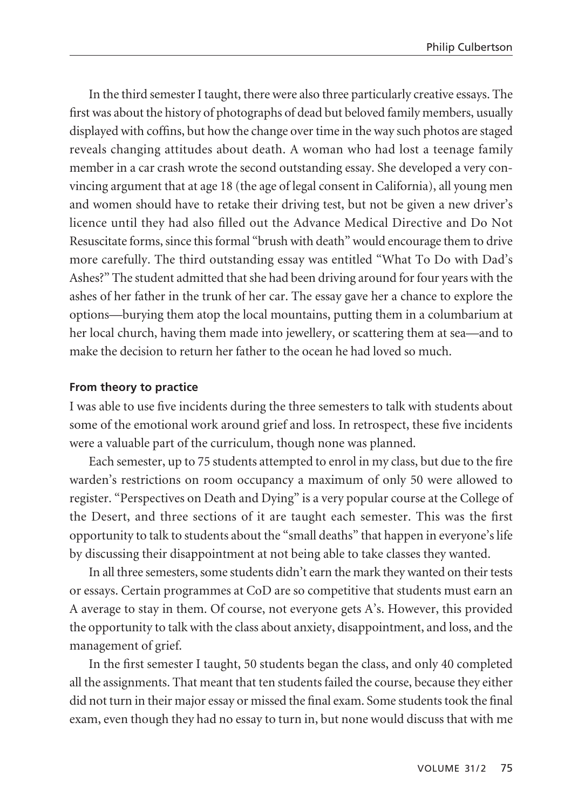In the third semester I taught, there were also three particularly creative essays. The first was about the history of photographs of dead but beloved family members, usually displayed with coffins, but how the change over time in the way such photos are staged reveals changing attitudes about death. A woman who had lost a teenage family member in a car crash wrote the second outstanding essay. She developed a very convincing argument that at age 18 (the age of legal consent in California), all young men and women should have to retake their driving test, but not be given a new driver's licence until they had also filled out the Advance Medical Directive and Do Not Resuscitate forms, since this formal "brush with death" would encourage them to drive more carefully. The third outstanding essay was entitled "What To Do with Dad's Ashes?" The student admitted that she had been driving around for four years with the ashes of her father in the trunk of her car. The essay gave her a chance to explore the options—burying them atop the local mountains, putting them in a columbarium at her local church, having them made into jewellery, or scattering them at sea—and to make the decision to return her father to the ocean he had loved so much.

## **From theory to practice**

I was able to use five incidents during the three semesters to talk with students about some of the emotional work around grief and loss. In retrospect, these five incidents were a valuable part of the curriculum, though none was planned.

Each semester, up to 75 students attempted to enrol in my class, but due to the fire warden's restrictions on room occupancy a maximum of only 50 were allowed to register. "Perspectives on Death and Dying" is a very popular course at the College of the Desert, and three sections of it are taught each semester. This was the first opportunity to talk to students about the "small deaths" that happen in everyone's life by discussing their disappointment at not being able to take classes they wanted.

In all three semesters, some students didn't earn the mark they wanted on their tests or essays. Certain programmes at CoD are so competitive that students must earn an A average to stay in them. Of course, not everyone gets A's. However, this provided the opportunity to talk with the class about anxiety, disappointment, and loss, and the management of grief.

In the first semester I taught, 50 students began the class, and only 40 completed all the assignments. That meant that ten students failed the course, because they either did not turn in their major essay or missed the final exam. Some students took the final exam, even though they had no essay to turn in, but none would discuss that with me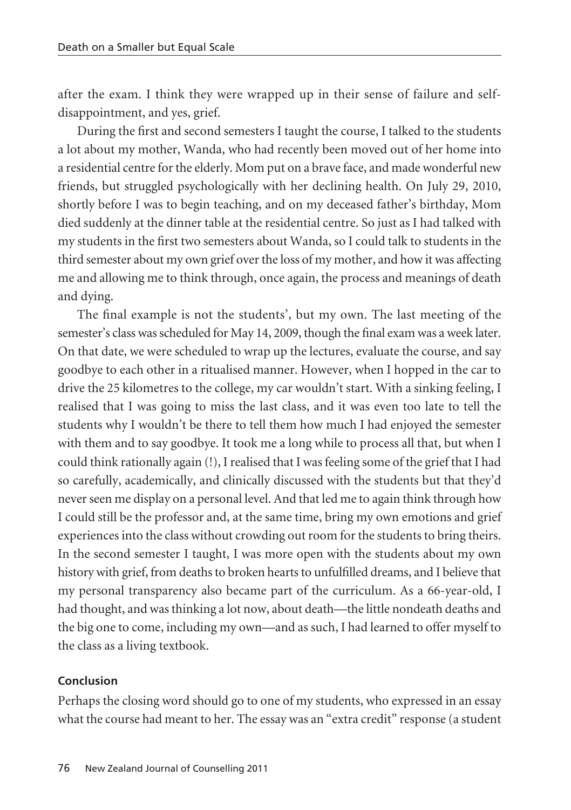after the exam. I think they were wrapped up in their sense of failure and selfdisappointment, and yes, grief.

During the first and second semesters I taught the course, I talked to the students a lot about my mother, Wanda, who had recently been moved out of her home into a residential centre for the elderly. Mom put on a brave face, and made wonderful new friends, but struggled psychologically with her declining health. On July 29, 2010, shortly before I was to begin teaching, and on my deceased father's birthday, Mom died suddenly at the dinner table at the residential centre. So just as I had talked with my students in the first two semesters about Wanda, so I could talk to students in the third semester about my own grief over the loss of my mother, and how it was affecting me and allowing me to think through, once again, the process and meanings of death and dying.

The final example is not the students', but my own. The last meeting of the semester's class was scheduled for May 14, 2009, though the final exam was a week later. On that date, we were scheduled to wrap up the lectures, evaluate the course, and say goodbye to each other in a ritualised manner. However, when I hopped in the car to drive the 25 kilometres to the college, my car wouldn't start. With a sinking feeling, I realised that I was going to miss the last class, and it was even too late to tell the students why I wouldn't be there to tell them how much I had enjoyed the semester with them and to say goodbye. It took me a long while to process all that, but when I could think rationally again (!), I realised that I was feeling some of the grief that I had so carefully, academically, and clinically discussed with the students but that they'd never seen me display on a personal level. And that led me to again think through how I could still be the professor and, at the same time, bring my own emotions and grief experiences into the class without crowding out room for the students to bring theirs. In the second semester I taught, I was more open with the students about my own history with grief, from deaths to broken hearts to unfulfilled dreams, and I believe that my personal transparency also became part of the curriculum. As a 66-year-old, I had thought, and was thinking a lot now, about death—the little nondeath deaths and the big one to come, including my own—and as such, I had learned to offer myself to the class as a living textbook.

### **Conclusion**

Perhaps the closing word should go to one of my students, who expressed in an essay what the course had meant to her. The essay was an "extra credit" response (a student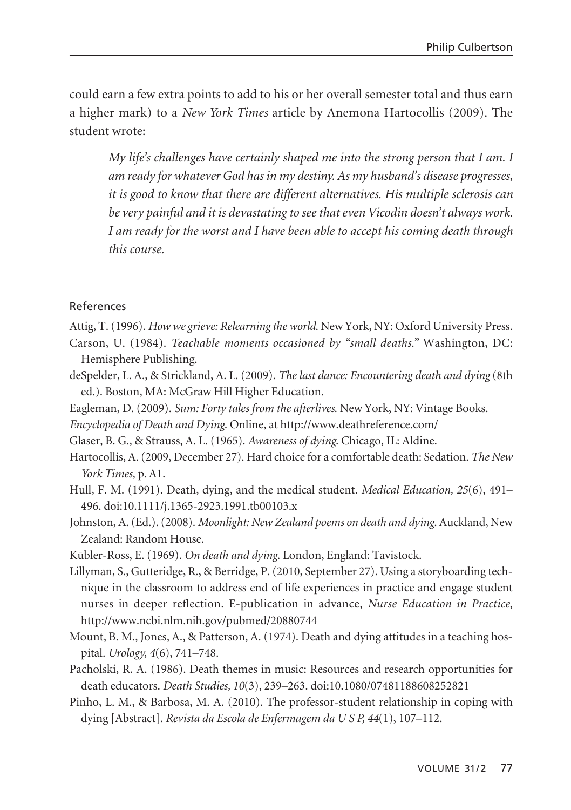could earn a few extra points to add to his or her overall semester total and thus earn a higher mark) to a *New York Times* article by Anemona Hartocollis (2009). The student wrote:

*My life's challenges have certainly shaped me into the strong person that I am. I am ready for whatever God has in my destiny. As my husband's disease progresses, it is good to know that there are different alternatives. His multiple sclerosis can be very painful and it is devastating to see that even Vicodin doesn't always work. I am ready for the worst and I have been able to accept his coming death through this course.* 

#### References

- Attig, T. (1996). *How we grieve: Relearning the world*. New York, NY: Oxford University Press.
- Carson, U. (1984). *Teachable moments occasioned by "small deaths."* Washington, DC: Hemisphere Publishing.
- deSpelder, L. A., & Strickland, A. L. (2009). *The last dance: Encountering death and dying* (8th ed.). Boston, MA: McGraw Hill Higher Education.
- Eagleman, D. (2009). *Sum: Forty tales from the afterlives*. New York, NY: Vintage Books.
- *Encyclopedia of Death and Dying*. Online, at http://www.deathreference.com/
- Glaser, B. G., & Strauss, A. L. (1965). *Awareness of dying*. Chicago, IL: Aldine.
- Hartocollis, A. (2009, December 27). Hard choice for a comfortable death: Sedation. *The New York Times*, p. A1.
- Hull, F. M. (1991). Death, dying, and the medical student. *Medical Education, 25*(6), 491– 496. doi:10.1111/j.1365-2923.1991.tb00103.x
- Johnston, A. (Ed.). (2008). *Moonlight: New Zealand poems on death and dying*. Auckland, New Zealand: Random House.
- Kübler-Ross, E. (1969). *On death and dying*. London, England: Tavistock.
- Lillyman, S., Gutteridge, R., & Berridge, P. (2010, September 27). Using a storyboarding technique in the classroom to address end of life experiences in practice and engage student nurses in deeper reflection. E-publication in advance, *Nurse Education in Practice*, http://www.ncbi.nlm.nih.gov/pubmed/20880744
- Mount, B. M., Jones, A., & Patterson, A. (1974). Death and dying attitudes in a teaching hospital. *Urology, 4*(6), 741–748.
- Pacholski, R. A. (1986). Death themes in music: Resources and research opportunities for death educators. *Death Studies, 10*(3), 239–263. doi:10.1080/07481188608252821
- Pinho, L. M., & Barbosa, M. A. (2010). The professor-student relationship in coping with dying [Abstract]. *Revista da Escola de Enfermagem da U S P, 44*(1), 107–112.